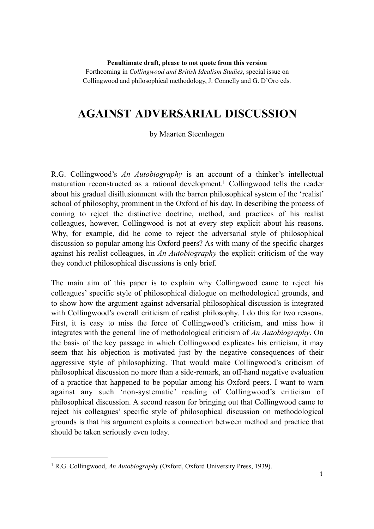**Penultimate draft, please to not quote from this version**

Forthcoming in *Collingwood and British Idealism Studies*, special issue on Collingwood and philosophical methodology, J. Connelly and G. D'Oro eds.

# **AGAINST ADVERSARIAL DISCUSSION**

#### by Maarten Steenhagen

R.G. Collingwood's *An Autobiography* is an account of a thinker's intellectual maturation reconstructed as a rational development.<sup>1</sup> Collingwood tells the reader about his gradual disillusionment with the barren philosophical system of the 'realist' school of philosophy, prominent in the Oxford of his day. In describing the process of coming to reject the distinctive doctrine, method, and practices of his realist colleagues, however, Collingwood is not at every step explicit about his reasons. Why, for example, did he come to reject the adversarial style of philosophical discussion so popular among his Oxford peers? As with many of the specific charges against his realist colleagues, in *An Autobiography* the explicit criticism of the way they conduct philosophical discussions is only brief.

The main aim of this paper is to explain why Collingwood came to reject his colleagues' specific style of philosophical dialogue on methodological grounds, and to show how the argument against adversarial philosophical discussion is integrated with Collingwood's overall criticism of realist philosophy. I do this for two reasons. First, it is easy to miss the force of Collingwood's criticism, and miss how it integrates with the general line of methodological criticism of *An Autobiography*. On the basis of the key passage in which Collingwood explicates his criticism, it may seem that his objection is motivated just by the negative consequences of their aggressive style of philosophizing. That would make Collingwood's criticism of philosophical discussion no more than a side-remark, an off-hand negative evaluation of a practice that happened to be popular among his Oxford peers. I want to warn against any such 'non-systematic' reading of Collingwood's criticism of philosophical discussion. A second reason for bringing out that Collingwood came to reject his colleagues' specific style of philosophical discussion on methodological grounds is that his argument exploits a connection between method and practice that should be taken seriously even today.

<sup>&</sup>lt;sup>1</sup> R.G. Collingwood, *An Autobiography* (Oxford, Oxford University Press, 1939).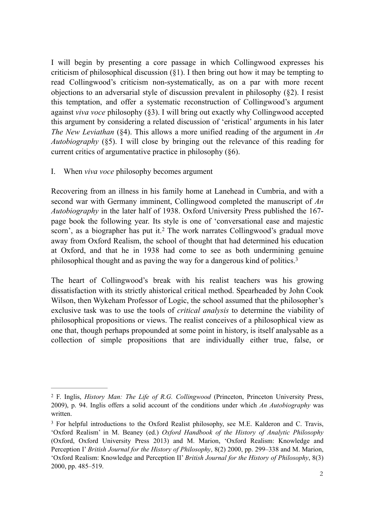I will begin by presenting a core passage in which Collingwood expresses his criticism of philosophical discussion (§1). I then bring out how it may be tempting to read Collingwood's criticism non-systematically, as on a par with more recent objections to an adversarial style of discussion prevalent in philosophy (§2). I resist this temptation, and offer a systematic reconstruction of Collingwood's argument against *viva voce* philosophy (§3). I will bring out exactly why Collingwood accepted this argument by considering a related discussion of 'eristical' arguments in his later *The New Leviathan* (§4). This allows a more unified reading of the argument in *An Autobiography* (§5). I will close by bringing out the relevance of this reading for current critics of argumentative practice in philosophy (§6).

I. When *viva voce* philosophy becomes argument

Recovering from an illness in his family home at Lanehead in Cumbria, and with a second war with Germany imminent, Collingwood completed the manuscript of *An Autobiography* in the later half of 1938. Oxford University Press published the 167 page book the following year. Its style is one of 'conversational ease and majestic scorn', as a biographer has put it.<sup>2</sup> The work narrates Collingwood's gradual move away from Oxford Realism, the school of thought that had determined his education at Oxford, and that he in 1938 had come to see as both undermining genuine philosophical thought and as paving the way for a dangerous kind of politics.3

The heart of Collingwood's break with his realist teachers was his growing dissatisfaction with its strictly ahistorical critical method. Spearheaded by John Cook Wilson, then Wykeham Professor of Logic, the school assumed that the philosopher's exclusive task was to use the tools of *critical analysis* to determine the viability of philosophical propositions or views. The realist conceives of a philosophical view as one that, though perhaps propounded at some point in history, is itself analysable as a collection of simple propositions that are individually either true, false, or

F. Inglis, *History Man: The Life of R.G. Collingwood* (Princeton, Princeton University Press, 2 2009), p. 94. Inglis offers a solid account of the conditions under which *An Autobiography* was written.

<sup>&</sup>lt;sup>3</sup> For helpful introductions to the Oxford Realist philosophy, see M.E. Kalderon and C. Travis, 'Oxford Realism' in M. Beaney (ed.) *Oxford Handbook of the History of Analytic Philosophy* (Oxford, Oxford University Press 2013) and M. Marion, 'Oxford Realism: Knowledge and Perception I' *British Journal for the History of Philosophy*, 8(2) 2000, pp. 299–338 and M. Marion, 'Oxford Realism: Knowledge and Perception II' *British Journal for the History of Philosophy*, 8(3) 2000, pp. 485–519.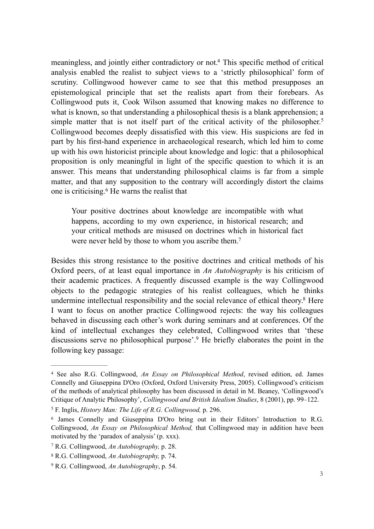meaningless, and jointly either contradictory or not.<sup>4</sup> This specific method of critical analysis enabled the realist to subject views to a 'strictly philosophical' form of scrutiny. Collingwood however came to see that this method presupposes an epistemological principle that set the realists apart from their forebears. As Collingwood puts it, Cook Wilson assumed that knowing makes no difference to what is known, so that understanding a philosophical thesis is a blank apprehension; a simple matter that is not itself part of the critical activity of the philosopher.<sup>5</sup> Collingwood becomes deeply dissatisfied with this view. His suspicions are fed in part by his first-hand experience in archaeological research, which led him to come up with his own historicist principle about knowledge and logic: that a philosophical proposition is only meaningful in light of the specific question to which it is an answer. This means that understanding philosophical claims is far from a simple matter, and that any supposition to the contrary will accordingly distort the claims one is criticising. $6$  He warns the realist that

Your positive doctrines about knowledge are incompatible with what happens, according to my own experience, in historical research; and your critical methods are misused on doctrines which in historical fact were never held by those to whom you ascribe them.<sup>7</sup>

Besides this strong resistance to the positive doctrines and critical methods of his Oxford peers, of at least equal importance in *An Autobiography* is his criticism of their academic practices. A frequently discussed example is the way Collingwood objects to the pedagogic strategies of his realist colleagues, which he thinks undermine intellectual responsibility and the social relevance of ethical theory.<sup>8</sup> Here I want to focus on another practice Collingwood rejects: the way his colleagues behaved in discussing each other's work during seminars and at conferences. Of the kind of intellectual exchanges they celebrated, Collingwood writes that 'these discussions serve no philosophical purpose'.<sup>9</sup> He briefly elaborates the point in the following key passage:

<sup>&</sup>lt;sup>4</sup> See also R.G. Collingwood, *An Essay on Philosophical Method*, revised edition, ed. James Connelly and Giuseppina D'Oro (Oxford, Oxford University Press, 2005). Collingwood's criticism of the methods of analytical philosophy has been discussed in detail in M. Beaney, 'Collingwood's Critique of Analytic Philosophy', *Collingwood and British Idealism Studies*, 8 (2001), pp. 99–122.

F. Inglis, *History Man: The Life of R.G. Collingwood,* p. 296. <sup>5</sup>

<sup>&</sup>lt;sup>6</sup> James Connelly and Giuseppina D'Oro bring out in their Editors' Introduction to R.G. Collingwood, *An Essay on Philosophical Method,* that Collingwood may in addition have been motivated by the 'paradox of analysis' (p. xxx).

R.G. Collingwood, *An Autobiography,* p. 28. <sup>7</sup>

R.G. Collingwood, *An Autobiography,* p. 74. <sup>8</sup>

R.G. Collingwood, *An Autobiography*, p. 54. <sup>9</sup>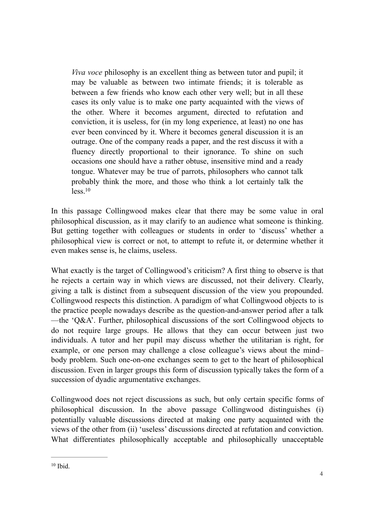*Viva voce* philosophy is an excellent thing as between tutor and pupil; it may be valuable as between two intimate friends; it is tolerable as between a few friends who know each other very well; but in all these cases its only value is to make one party acquainted with the views of the other. Where it becomes argument, directed to refutation and conviction, it is useless, for (in my long experience, at least) no one has ever been convinced by it. Where it becomes general discussion it is an outrage. One of the company reads a paper, and the rest discuss it with a fluency directly proportional to their ignorance. To shine on such occasions one should have a rather obtuse, insensitive mind and a ready tongue. Whatever may be true of parrots, philosophers who cannot talk probably think the more, and those who think a lot certainly talk the  $less<sup>10</sup>$ 

In this passage Collingwood makes clear that there may be some value in oral philosophical discussion, as it may clarify to an audience what someone is thinking. But getting together with colleagues or students in order to 'discuss' whether a philosophical view is correct or not, to attempt to refute it, or determine whether it even makes sense is, he claims, useless.

What exactly is the target of Collingwood's criticism? A first thing to observe is that he rejects a certain way in which views are discussed, not their delivery. Clearly, giving a talk is distinct from a subsequent discussion of the view you propounded. Collingwood respects this distinction. A paradigm of what Collingwood objects to is the practice people nowadays describe as the question-and-answer period after a talk —the 'Q&A'. Further, philosophical discussions of the sort Collingwood objects to do not require large groups. He allows that they can occur between just two individuals. A tutor and her pupil may discuss whether the utilitarian is right, for example, or one person may challenge a close colleague's views about the mind– body problem. Such one-on-one exchanges seem to get to the heart of philosophical discussion. Even in larger groups this form of discussion typically takes the form of a succession of dyadic argumentative exchanges.

Collingwood does not reject discussions as such, but only certain specific forms of philosophical discussion. In the above passage Collingwood distinguishes (i) potentially valuable discussions directed at making one party acquainted with the views of the other from (ii) 'useless' discussions directed at refutation and conviction. What differentiates philosophically acceptable and philosophically unacceptable

 $10$  Ibid.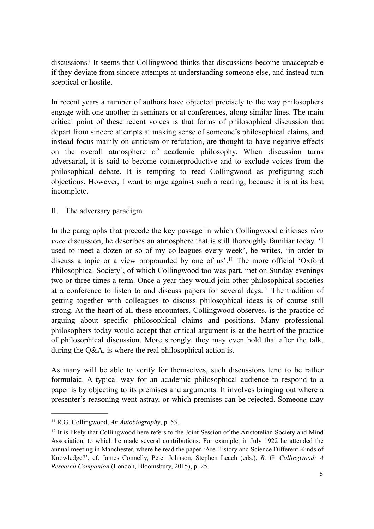discussions? It seems that Collingwood thinks that discussions become unacceptable if they deviate from sincere attempts at understanding someone else, and instead turn sceptical or hostile.

In recent years a number of authors have objected precisely to the way philosophers engage with one another in seminars or at conferences, along similar lines. The main critical point of these recent voices is that forms of philosophical discussion that depart from sincere attempts at making sense of someone's philosophical claims, and instead focus mainly on criticism or refutation, are thought to have negative effects on the overall atmosphere of academic philosophy. When discussion turns adversarial, it is said to become counterproductive and to exclude voices from the philosophical debate. It is tempting to read Collingwood as prefiguring such objections. However, I want to urge against such a reading, because it is at its best incomplete.

## II. The adversary paradigm

In the paragraphs that precede the key passage in which Collingwood criticises *viva voce* discussion, he describes an atmosphere that is still thoroughly familiar today. 'I used to meet a dozen or so of my colleagues every week', he writes, 'in order to discuss a topic or a view propounded by one of us'.<sup>11</sup> The more official 'Oxford Philosophical Society', of which Collingwood too was part, met on Sunday evenings two or three times a term. Once a year they would join other philosophical societies at a conference to listen to and discuss papers for several days.<sup>12</sup> The tradition of getting together with colleagues to discuss philosophical ideas is of course still strong. At the heart of all these encounters, Collingwood observes, is the practice of arguing about specific philosophical claims and positions. Many professional philosophers today would accept that critical argument is at the heart of the practice of philosophical discussion. More strongly, they may even hold that after the talk, during the Q&A, is where the real philosophical action is.

As many will be able to verify for themselves, such discussions tend to be rather formulaic. A typical way for an academic philosophical audience to respond to a paper is by objecting to its premises and arguments. It involves bringing out where a presenter's reasoning went astray, or which premises can be rejected. Someone may

<sup>&</sup>lt;sup>11</sup> R.G. Collingwood, *An Autobiography*, p. 53.

 $12$  It is likely that Collingwood here refers to the Joint Session of the Aristotelian Society and Mind Association, to which he made several contributions. For example, in July 1922 he attended the annual meeting in Manchester, where he read the paper 'Are History and Science Different Kinds of Knowledge?', cf. James Connelly, Peter Johnson, Stephen Leach (eds.), *R. G. Collingwood: A Research Companion* (London, Bloomsbury, 2015), p. 25.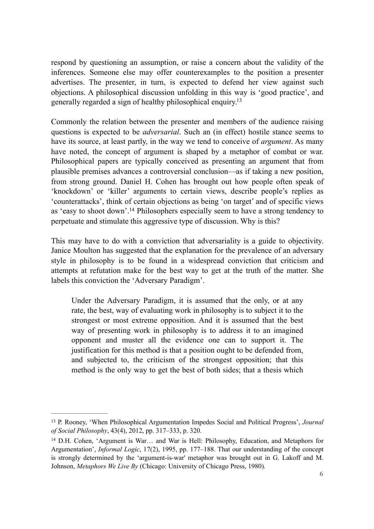respond by questioning an assumption, or raise a concern about the validity of the inferences. Someone else may offer counterexamples to the position a presenter advertises. The presenter, in turn, is expected to defend her view against such objections. A philosophical discussion unfolding in this way is 'good practice', and generally regarded a sign of healthy philosophical enquiry.13

Commonly the relation between the presenter and members of the audience raising questions is expected to be *adversarial*. Such an (in effect) hostile stance seems to have its source, at least partly, in the way we tend to conceive of *argument*. As many have noted, the concept of argument is shaped by a metaphor of combat or war. Philosophical papers are typically conceived as presenting an argument that from plausible premises advances a controversial conclusion—as if taking a new position, from strong ground. Daniel H. Cohen has brought out how people often speak of 'knockdown' or 'killer' arguments to certain views, describe people's replies as 'counterattacks', think of certain objections as being 'on target' and of specific views as 'easy to shoot down'.<sup>14</sup> Philosophers especially seem to have a strong tendency to perpetuate and stimulate this aggressive type of discussion. Why is this?

This may have to do with a conviction that adversariality is a guide to objectivity. Janice Moulton has suggested that the explanation for the prevalence of an adversary style in philosophy is to be found in a widespread conviction that criticism and attempts at refutation make for the best way to get at the truth of the matter. She labels this conviction the 'Adversary Paradigm'.

Under the Adversary Paradigm, it is assumed that the only, or at any rate, the best, way of evaluating work in philosophy is to subject it to the strongest or most extreme opposition. And it is assumed that the best way of presenting work in philosophy is to address it to an imagined opponent and muster all the evidence one can to support it. The justification for this method is that a position ought to be defended from, and subjected to, the criticism of the strongest opposition; that this method is the only way to get the best of both sides; that a thesis which

P. Rooney, 'When Philosophical Argumentation Impedes Social and Political Progress', *Journal* <sup>13</sup> *of Social Philosophy*, 43(4), 2012, pp. 317–333, p. 320.

<sup>&</sup>lt;sup>14</sup> D.H. Cohen, 'Argument is War... and War is Hell: Philosophy, Education, and Metaphors for Argumentation', *Informal Logic*, 17(2), 1995, pp. 177–188. That our understanding of the concept is strongly determined by the 'argument-is-war' metaphor was brought out in G. Lakoff and M. Johnson, *Metaphors We Live By* (Chicago: University of Chicago Press, 1980).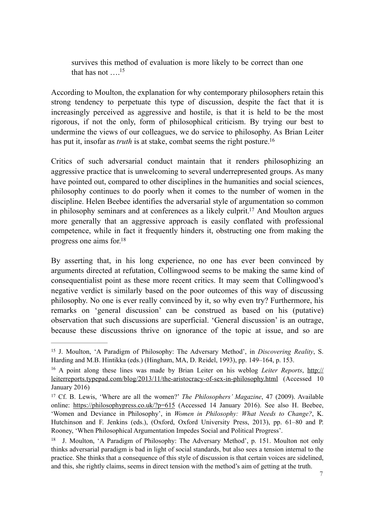survives this method of evaluation is more likely to be correct than one that has not  $15$ 

According to Moulton, the explanation for why contemporary philosophers retain this strong tendency to perpetuate this type of discussion, despite the fact that it is increasingly perceived as aggressive and hostile, is that it is held to be the most rigorous, if not the only, form of philosophical criticism. By trying our best to undermine the views of our colleagues, we do service to philosophy. As Brian Leiter has put it, insofar as *truth* is at stake, combat seems the right posture.<sup>16</sup>

Critics of such adversarial conduct maintain that it renders philosophizing an aggressive practice that is unwelcoming to several underrepresented groups. As many have pointed out, compared to other disciplines in the humanities and social sciences, philosophy continues to do poorly when it comes to the number of women in the discipline. Helen Beebee identifies the adversarial style of argumentation so common in philosophy seminars and at conferences as a likely culprit.<sup>17</sup> And Moulton argues more generally that an aggressive approach is easily conflated with professional competence, while in fact it frequently hinders it, obstructing one from making the progress one aims for.18

By asserting that, in his long experience, no one has ever been convinced by arguments directed at refutation, Collingwood seems to be making the same kind of consequentialist point as these more recent critics. It may seem that Collingwood's negative verdict is similarly based on the poor outcomes of this way of discussing philosophy. No one is ever really convinced by it, so why even try? Furthermore, his remarks on 'general discussion' can be construed as based on his (putative) observation that such discussions are superficial. 'General discussion' is an outrage, because these discussions thrive on ignorance of the topic at issue, and so are

<sup>&</sup>lt;sup>15</sup> J. Moulton, 'A Paradigm of Philosophy: The Adversary Method', in *Discovering Reality*, S. Harding and M.B. Hintikka (eds.) (Hingham, MA, D. Reidel, 1993), pp. 149–164, p. 153.

<sup>&</sup>lt;sup>16</sup> A point along these lines was made by Brian Leiter on his weblog *Leiter Reports*, http:// leiterreports.typepad.com/blog/2013/11/the-aristocracy-of-sex-in-philosophy.html (Accessed 10 January 2016)

<sup>&</sup>lt;sup>17</sup> Cf. B. Lewis, 'Where are all the women?' *The Philosophers' Magazine*, 47 (2009). Available online: https://philosophypress.co.uk/?p=615 (Accessed 14 January 2016). See also H. Beebee, 'Women and Deviance in Philosophy', in *Women in Philosophy: What Needs to Change?*, K. Hutchinson and F. Jenkins (eds.), (Oxford, Oxford University Press, 2013), pp. 61–80 and P. Rooney, 'When Philosophical Argumentation Impedes Social and Political Progress'.

<sup>&</sup>lt;sup>18</sup> J. Moulton, 'A Paradigm of Philosophy: The Adversary Method', p. 151. Moulton not only thinks adversarial paradigm is bad in light of social standards, but also sees a tension internal to the practice. She thinks that a consequence of this style of discussion is that certain voices are sidelined, and this, she rightly claims, seems in direct tension with the method's aim of getting at the truth.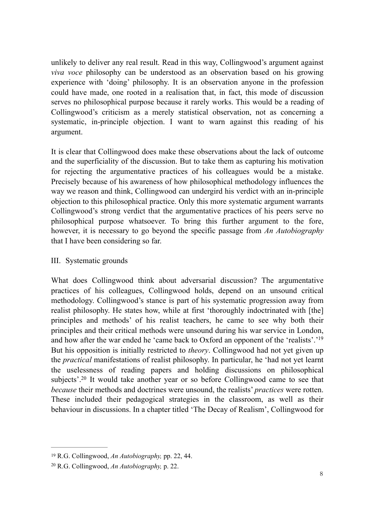unlikely to deliver any real result. Read in this way, Collingwood's argument against *viva voce* philosophy can be understood as an observation based on his growing experience with 'doing' philosophy. It is an observation anyone in the profession could have made, one rooted in a realisation that, in fact, this mode of discussion serves no philosophical purpose because it rarely works. This would be a reading of Collingwood's criticism as a merely statistical observation, not as concerning a systematic, in-principle objection. I want to warn against this reading of his argument.

It is clear that Collingwood does make these observations about the lack of outcome and the superficiality of the discussion. But to take them as capturing his motivation for rejecting the argumentative practices of his colleagues would be a mistake. Precisely because of his awareness of how philosophical methodology influences the way we reason and think, Collingwood can undergird his verdict with an in-principle objection to this philosophical practice. Only this more systematic argument warrants Collingwood's strong verdict that the argumentative practices of his peers serve no philosophical purpose whatsoever. To bring this further argument to the fore, however, it is necessary to go beyond the specific passage from *An Autobiography* that I have been considering so far.

### III. Systematic grounds

What does Collingwood think about adversarial discussion? The argumentative practices of his colleagues, Collingwood holds, depend on an unsound critical methodology. Collingwood's stance is part of his systematic progression away from realist philosophy. He states how, while at first 'thoroughly indoctrinated with [the] principles and methods' of his realist teachers, he came to see why both their principles and their critical methods were unsound during his war service in London, and how after the war ended he 'came back to Oxford an opponent of the 'realists'.'19 But his opposition is initially restricted to *theory*. Collingwood had not yet given up the *practical* manifestations of realist philosophy. In particular, he 'had not yet learnt the uselessness of reading papers and holding discussions on philosophical subjects'.<sup>20</sup> It would take another year or so before Collingwood came to see that *because* their methods and doctrines were unsound, the realists' *practices* were rotten. These included their pedagogical strategies in the classroom, as well as their behaviour in discussions. In a chapter titled 'The Decay of Realism', Collingwood for

<sup>&</sup>lt;sup>19</sup> R.G. Collingwood, *An Autobiography*, pp. 22, 44.

<sup>&</sup>lt;sup>20</sup> R.G. Collingwood, *An Autobiography*, p. 22.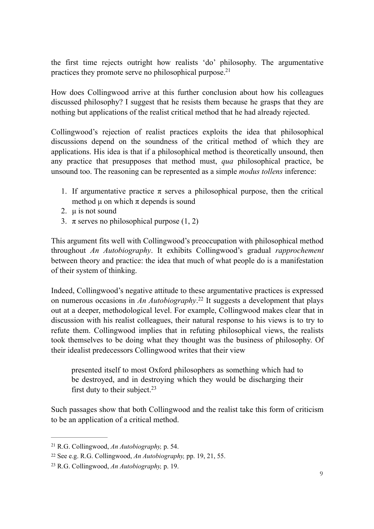the first time rejects outright how realists 'do' philosophy. The argumentative practices they promote serve no philosophical purpose.<sup>21</sup>

How does Collingwood arrive at this further conclusion about how his colleagues discussed philosophy? I suggest that he resists them because he grasps that they are nothing but applications of the realist critical method that he had already rejected.

Collingwood's rejection of realist practices exploits the idea that philosophical discussions depend on the soundness of the critical method of which they are applications. His idea is that if a philosophical method is theoretically unsound, then any practice that presupposes that method must, *qua* philosophical practice, be unsound too. The reasoning can be represented as a simple *modus tollens* inference:

- 1. If argumentative practice  $\pi$  serves a philosophical purpose, then the critical method  $\mu$  on which  $\pi$  depends is sound
- 2. u is not sound
- 3.  $\pi$  serves no philosophical purpose (1, 2)

This argument fits well with Collingwood's preoccupation with philosophical method throughout *An Autobiography*. It exhibits Collingwood's gradual *rapprochement* between theory and practice: the idea that much of what people do is a manifestation of their system of thinking.

Indeed, Collingwood's negative attitude to these argumentative practices is expressed on numerous occasions in *An Autobiography*.<sup>22</sup> It suggests a development that plays out at a deeper, methodological level. For example, Collingwood makes clear that in discussion with his realist colleagues, their natural response to his views is to try to refute them. Collingwood implies that in refuting philosophical views, the realists took themselves to be doing what they thought was the business of philosophy. Of their idealist predecessors Collingwood writes that their view

presented itself to most Oxford philosophers as something which had to be destroyed, and in destroying which they would be discharging their first duty to their subject. $23$ 

Such passages show that both Collingwood and the realist take this form of criticism to be an application of a critical method.

<sup>&</sup>lt;sup>21</sup> R.G. Collingwood, *An Autobiography*, p. 54.

<sup>&</sup>lt;sup>22</sup> See e.g. R.G. Collingwood, *An Autobiography*, pp. 19, 21, 55.

R.G. Collingwood, *An Autobiography,* p. 19. <sup>23</sup>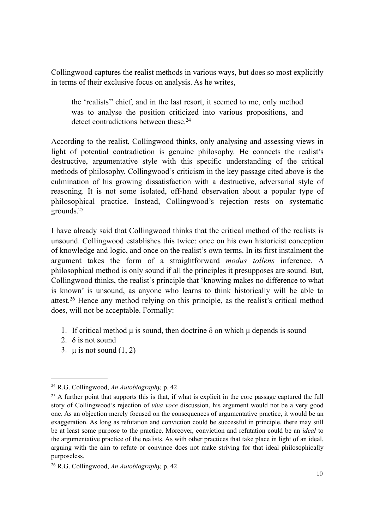Collingwood captures the realist methods in various ways, but does so most explicitly in terms of their exclusive focus on analysis. As he writes,

the 'realists'' chief, and in the last resort, it seemed to me, only method was to analyse the position criticized into various propositions, and detect contradictions between these.<sup>24</sup>

According to the realist, Collingwood thinks, only analysing and assessing views in light of potential contradiction is genuine philosophy. He connects the realist's destructive, argumentative style with this specific understanding of the critical methods of philosophy. Collingwood's criticism in the key passage cited above is the culmination of his growing dissatisfaction with a destructive, adversarial style of reasoning. It is not some isolated, off-hand observation about a popular type of philosophical practice. Instead, Collingwood's rejection rests on systematic grounds.25

I have already said that Collingwood thinks that the critical method of the realists is unsound. Collingwood establishes this twice: once on his own historicist conception of knowledge and logic, and once on the realist's own terms. In its first instalment the argument takes the form of a straightforward *modus tollens* inference. A philosophical method is only sound if all the principles it presupposes are sound. But, Collingwood thinks, the realist's principle that 'knowing makes no difference to what is known' is unsound, as anyone who learns to think historically will be able to attest.<sup>26</sup> Hence any method relying on this principle, as the realist's critical method does, will not be acceptable. Formally:

- 1. If critical method  $\mu$  is sound, then doctrine  $\delta$  on which  $\mu$  depends is sound
- 2.  $\delta$  is not sound
- 3.  $\mu$  is not sound (1, 2)

<sup>&</sup>lt;sup>24</sup> R.G. Collingwood, *An Autobiography*, p. 42.

<sup>&</sup>lt;sup>25</sup> A further point that supports this is that, if what is explicit in the core passage captured the full story of Collingwood's rejection of *viva voce* discussion, his argument would not be a very good one. As an objection merely focused on the consequences of argumentative practice, it would be an exaggeration. As long as refutation and conviction could be successful in principle, there may still be at least some purpose to the practice. Moreover, conviction and refutation could be an *ideal* to the argumentative practice of the realists. As with other practices that take place in light of an ideal, arguing with the aim to refute or convince does not make striving for that ideal philosophically purposeless.

<sup>&</sup>lt;sup>26</sup> R.G. Collingwood, *An Autobiography*, p. 42.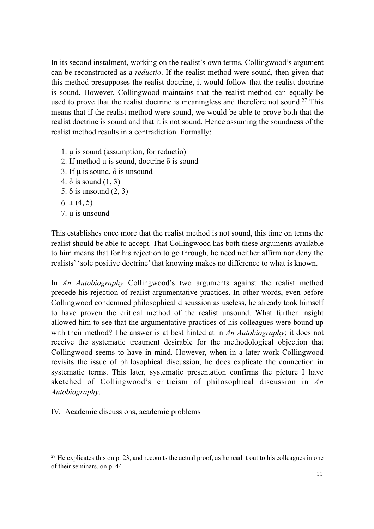In its second instalment, working on the realist's own terms, Collingwood's argument can be reconstructed as a *reductio*. If the realist method were sound, then given that this method presupposes the realist doctrine, it would follow that the realist doctrine is sound. However, Collingwood maintains that the realist method can equally be used to prove that the realist doctrine is meaningless and therefore not sound.<sup>27</sup> This means that if the realist method were sound, we would be able to prove both that the realist doctrine is sound and that it is not sound. Hence assuming the soundness of the realist method results in a contradiction. Formally:

- 1.  $\mu$  is sound (assumption, for reductio)
- 2. If method  $\mu$  is sound, doctrine  $\delta$  is sound
- 3. If  $\mu$  is sound,  $\delta$  is unsound
- 4.  $\delta$  is sound  $(1, 3)$
- 5. δ is unsound (2, 3)
- $6. \perp (4, 5)$
- 7. µ is unsound

This establishes once more that the realist method is not sound, this time on terms the realist should be able to accept. That Collingwood has both these arguments available to him means that for his rejection to go through, he need neither affirm nor deny the realists' 'sole positive doctrine' that knowing makes no difference to what is known.

In *An Autobiography* Collingwood's two arguments against the realist method precede his rejection of realist argumentative practices. In other words, even before Collingwood condemned philosophical discussion as useless, he already took himself to have proven the critical method of the realist unsound. What further insight allowed him to see that the argumentative practices of his colleagues were bound up with their method? The answer is at best hinted at in *An Autobiography*; it does not receive the systematic treatment desirable for the methodological objection that Collingwood seems to have in mind. However, when in a later work Collingwood revisits the issue of philosophical discussion, he does explicate the connection in systematic terms. This later, systematic presentation confirms the picture I have sketched of Collingwood's criticism of philosophical discussion in *An Autobiography*.

IV. Academic discussions, academic problems

 $^{27}$  He explicates this on p. 23, and recounts the actual proof, as he read it out to his colleagues in one of their seminars, on p. 44.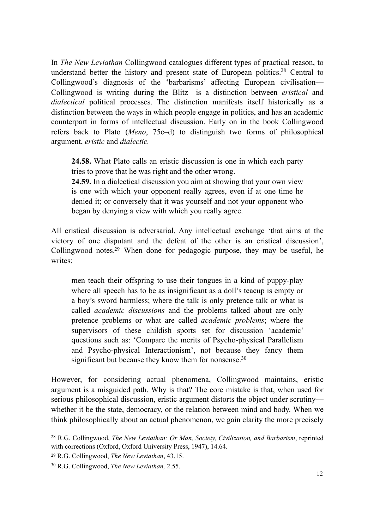In *The New Leviathan* Collingwood catalogues different types of practical reason, to understand better the history and present state of European politics.<sup>28</sup> Central to Collingwood's diagnosis of the 'barbarisms' affecting European civilisation— Collingwood is writing during the Blitz—is a distinction between *eristical* and *dialectical* political processes. The distinction manifests itself historically as a distinction between the ways in which people engage in politics, and has an academic counterpart in forms of intellectual discussion. Early on in the book Collingwood refers back to Plato (*Meno*, 75c–d) to distinguish two forms of philosophical argument, *eristic* and *dialectic.* 

**24.58.** What Plato calls an eristic discussion is one in which each party tries to prove that he was right and the other wrong.

**24.59.** In a dialectical discussion you aim at showing that your own view is one with which your opponent really agrees, even if at one time he denied it; or conversely that it was yourself and not your opponent who began by denying a view with which you really agree.

All eristical discussion is adversarial. Any intellectual exchange 'that aims at the victory of one disputant and the defeat of the other is an eristical discussion', Collingwood notes.<sup>29</sup> When done for pedagogic purpose, they may be useful, he writes:

men teach their offspring to use their tongues in a kind of puppy-play where all speech has to be as insignificant as a doll's teacup is empty or a boy's sword harmless; where the talk is only pretence talk or what is called *academic discussions* and the problems talked about are only pretence problems or what are called *academic problems*; where the supervisors of these childish sports set for discussion 'academic' questions such as: 'Compare the merits of Psycho-physical Parallelism and Psycho-physical Interactionism', not because they fancy them significant but because they know them for nonsense.<sup>30</sup>

However, for considering actual phenomena, Collingwood maintains, eristic argument is a misguided path. Why is that? The core mistake is that, when used for serious philosophical discussion, eristic argument distorts the object under scrutiny whether it be the state, democracy, or the relation between mind and body. When we think philosophically about an actual phenomenon, we gain clarity the more precisely

<sup>&</sup>lt;sup>28</sup> R.G. Collingwood, *The New Leviathan: Or Man, Society, Civilization, and Barbarism, reprinted* with corrections (Oxford, Oxford University Press, 1947), 14.64.

R.G. Collingwood, *The New Leviathan*, 43.15. <sup>29</sup>

<sup>&</sup>lt;sup>30</sup> R.G. Collingwood, *The New Leviathan*, 2.55.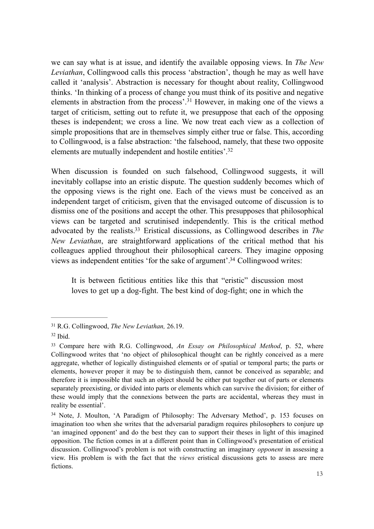we can say what is at issue, and identify the available opposing views. In *The New Leviathan*, Collingwood calls this process 'abstraction', though he may as well have called it 'analysis'. Abstraction is necessary for thought about reality, Collingwood thinks. 'In thinking of a process of change you must think of its positive and negative elements in abstraction from the process'.<sup>31</sup> However, in making one of the views a target of criticism, setting out to refute it, we presuppose that each of the opposing theses is independent; we cross a line. We now treat each view as a collection of simple propositions that are in themselves simply either true or false. This, according to Collingwood, is a false abstraction: 'the falsehood, namely, that these two opposite elements are mutually independent and hostile entities'.32

When discussion is founded on such falsehood. Collingwood suggests, it will inevitably collapse into an eristic dispute. The question suddenly becomes which of the opposing views is the right one. Each of the views must be conceived as an independent target of criticism, given that the envisaged outcome of discussion is to dismiss one of the positions and accept the other. This presupposes that philosophical views can be targeted and scrutinised independently. This is the critical method advocated by the realists.<sup>33</sup> Eristical discussions, as Collingwood describes in *The New Leviathan*, are straightforward applications of the critical method that his colleagues applied throughout their philosophical careers. They imagine opposing views as independent entities 'for the sake of argument'.<sup>34</sup> Collingwood writes:

It is between fictitious entities like this that "eristic" discussion most loves to get up a dog-fight. The best kind of dog-fight; one in which the

R.G. Collingwood, *The New Leviathan,* 26.19. <sup>31</sup>

 $32$  Ibid.

<sup>&</sup>lt;sup>33</sup> Compare here with R.G. Collingwood, *An Essay on Philosophical Method*, p. 52, where Collingwood writes that 'no object of philosophical thought can be rightly conceived as a mere aggregate, whether of logically distinguished elements or of spatial or temporal parts; the parts or elements, however proper it may be to distinguish them, cannot be conceived as separable; and therefore it is impossible that such an object should be either put together out of parts or elements separately preexisting, or divided into parts or elements which can survive the division; for either of these would imply that the connexions between the parts are accidental, whereas they must in reality be essential'.

<sup>&</sup>lt;sup>34</sup> Note, J. Moulton, 'A Paradigm of Philosophy: The Adversary Method', p. 153 focuses on imagination too when she writes that the adversarial paradigm requires philosophers to conjure up 'an imagined opponent' and do the best they can to support their theses in light of this imagined opposition. The fiction comes in at a different point than in Collingwood's presentation of eristical discussion. Collingwood's problem is not with constructing an imaginary *opponent* in assessing a view. His problem is with the fact that the *views* eristical discussions gets to assess are mere fictions.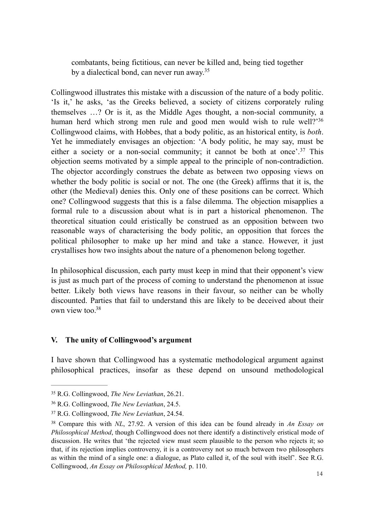combatants, being fictitious, can never be killed and, being tied together by a dialectical bond, can never run away.35

Collingwood illustrates this mistake with a discussion of the nature of a body politic. 'Is it,' he asks, 'as the Greeks believed, a society of citizens corporately ruling themselves …? Or is it, as the Middle Ages thought, a non-social community, a human herd which strong men rule and good men would wish to rule well?'36 Collingwood claims, with Hobbes, that a body politic, as an historical entity, is *both*. Yet he immediately envisages an objection: 'A body politic, he may say, must be either a society or a non-social community; it cannot be both at once'.<sup>37</sup> This objection seems motivated by a simple appeal to the principle of non-contradiction. The objector accordingly construes the debate as between two opposing views on whether the body politic is social or not. The one (the Greek) affirms that it is, the other (the Medieval) denies this. Only one of these positions can be correct. Which one? Collingwood suggests that this is a false dilemma. The objection misapplies a formal rule to a discussion about what is in part a historical phenomenon. The theoretical situation could eristically be construed as an opposition between two reasonable ways of characterising the body politic, an opposition that forces the political philosopher to make up her mind and take a stance. However, it just crystallises how two insights about the nature of a phenomenon belong together.

In philosophical discussion, each party must keep in mind that their opponent's view is just as much part of the process of coming to understand the phenomenon at issue better. Likely both views have reasons in their favour, so neither can be wholly discounted. Parties that fail to understand this are likely to be deceived about their own view too.38

## **V. The unity of Collingwood's argument**

I have shown that Collingwood has a systematic methodological argument against philosophical practices, insofar as these depend on unsound methodological

R.G. Collingwood, *The New Leviathan*, 26.21. <sup>35</sup>

<sup>&</sup>lt;sup>36</sup> R.G. Collingwood, *The New Leviathan*, 24.5.

R.G. Collingwood, *The New Leviathan*, 24.54. <sup>37</sup>

Compare this with *NL*, 27.92. A version of this idea can be found already in *An Essay on* <sup>38</sup> *Philosophical Method*, though Collingwood does not there identify a distinctively eristical mode of discussion. He writes that 'the rejected view must seem plausible to the person who rejects it; so that, if its rejection implies controversy, it is a controversy not so much between two philosophers as within the mind of a single one: a dialogue, as Plato called it, of the soul with itself'. See R.G. Collingwood, *An Essay on Philosophical Method,* p. 110.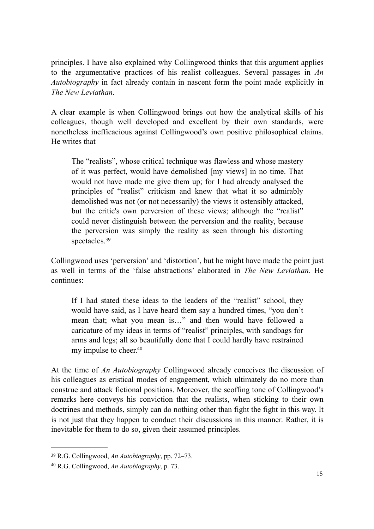principles. I have also explained why Collingwood thinks that this argument applies to the argumentative practices of his realist colleagues. Several passages in *An Autobiography* in fact already contain in nascent form the point made explicitly in *The New Leviathan*.

A clear example is when Collingwood brings out how the analytical skills of his colleagues, though well developed and excellent by their own standards, were nonetheless inefficacious against Collingwood's own positive philosophical claims. He writes that

The "realists", whose critical technique was flawless and whose mastery of it was perfect, would have demolished [my views] in no time. That would not have made me give them up; for I had already analysed the principles of "realist" criticism and knew that what it so admirably demolished was not (or not necessarily) the views it ostensibly attacked, but the critic's own perversion of these views; although the "realist" could never distinguish between the perversion and the reality, because the perversion was simply the reality as seen through his distorting spectacles.39

Collingwood uses 'perversion' and 'distortion', but he might have made the point just as well in terms of the 'false abstractions' elaborated in *The New Leviathan*. He continues:

If I had stated these ideas to the leaders of the "realist" school, they would have said, as I have heard them say a hundred times, "you don't mean that; what you mean is…" and then would have followed a caricature of my ideas in terms of "realist" principles, with sandbags for arms and legs; all so beautifully done that I could hardly have restrained my impulse to cheer.40

At the time of *An Autobiography* Collingwood already conceives the discussion of his colleagues as eristical modes of engagement, which ultimately do no more than construe and attack fictional positions. Moreover, the scoffing tone of Collingwood's remarks here conveys his conviction that the realists, when sticking to their own doctrines and methods, simply can do nothing other than fight the fight in this way. It is not just that they happen to conduct their discussions in this manner. Rather, it is inevitable for them to do so, given their assumed principles.

<sup>&</sup>lt;sup>39</sup> R.G. Collingwood, *An Autobiography*, pp. 72–73.

<sup>&</sup>lt;sup>40</sup> R.G. Collingwood, *An Autobiography*, p. 73.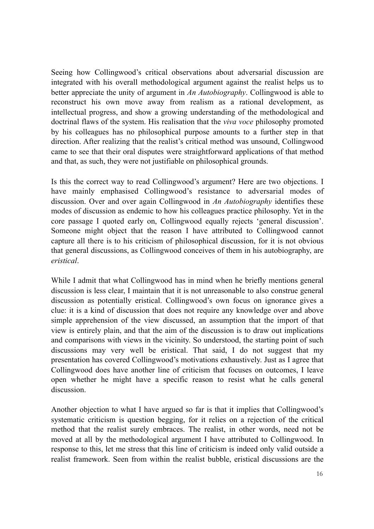Seeing how Collingwood's critical observations about adversarial discussion are integrated with his overall methodological argument against the realist helps us to better appreciate the unity of argument in *An Autobiography*. Collingwood is able to reconstruct his own move away from realism as a rational development, as intellectual progress, and show a growing understanding of the methodological and doctrinal flaws of the system. His realisation that the *viva voce* philosophy promoted by his colleagues has no philosophical purpose amounts to a further step in that direction. After realizing that the realist's critical method was unsound, Collingwood came to see that their oral disputes were straightforward applications of that method and that, as such, they were not justifiable on philosophical grounds.

Is this the correct way to read Collingwood's argument? Here are two objections. I have mainly emphasised Collingwood's resistance to adversarial modes of discussion. Over and over again Collingwood in *An Autobiography* identifies these modes of discussion as endemic to how his colleagues practice philosophy. Yet in the core passage I quoted early on, Collingwood equally rejects 'general discussion'. Someone might object that the reason I have attributed to Collingwood cannot capture all there is to his criticism of philosophical discussion, for it is not obvious that general discussions, as Collingwood conceives of them in his autobiography, are *eristical*.

While I admit that what Collingwood has in mind when he briefly mentions general discussion is less clear, I maintain that it is not unreasonable to also construe general discussion as potentially eristical. Collingwood's own focus on ignorance gives a clue: it is a kind of discussion that does not require any knowledge over and above simple apprehension of the view discussed, an assumption that the import of that view is entirely plain, and that the aim of the discussion is to draw out implications and comparisons with views in the vicinity. So understood, the starting point of such discussions may very well be eristical. That said, I do not suggest that my presentation has covered Collingwood's motivations exhaustively. Just as I agree that Collingwood does have another line of criticism that focuses on outcomes, I leave open whether he might have a specific reason to resist what he calls general discussion.

Another objection to what I have argued so far is that it implies that Collingwood's systematic criticism is question begging, for it relies on a rejection of the critical method that the realist surely embraces. The realist, in other words, need not be moved at all by the methodological argument I have attributed to Collingwood. In response to this, let me stress that this line of criticism is indeed only valid outside a realist framework. Seen from within the realist bubble, eristical discussions are the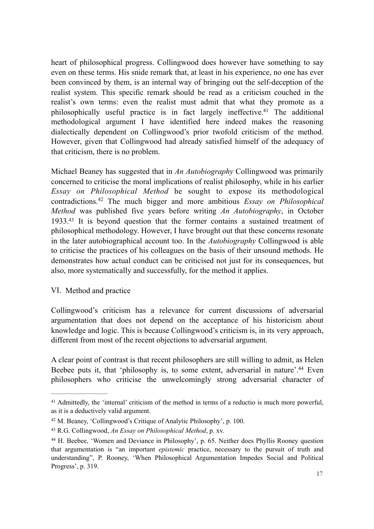heart of philosophical progress. Collingwood does however have something to say even on these terms. His snide remark that, at least in his experience, no one has ever been convinced by them, is an internal way of bringing out the self-deception of the realist system. This specific remark should be read as a criticism couched in the realist's own terms: even the realist must admit that what they promote as a philosophically useful practice is in fact largely ineffective.<sup>41</sup> The additional methodological argument I have identified here indeed makes the reasoning dialectically dependent on Collingwood's prior twofold criticism of the method. However, given that Collingwood had already satisfied himself of the adequacy of that criticism, there is no problem.

Michael Beaney has suggested that in *An Autobiography* Collingwood was primarily concerned to criticise the moral implications of realist philosophy, while in his earlier *Essay on Philosophical Method* he sought to expose its methodological contradictions.<sup>42</sup> The much bigger and more ambitious *Essay on Philosophical Method* was published five years before writing *An Autobiography*, in October  $1933<sup>43</sup>$  It is beyond question that the former contains a sustained treatment of philosophical methodology. However, I have brought out that these concerns resonate in the later autobiographical account too. In the *Autobiography* Collingwood is able to criticise the practices of his colleagues on the basis of their unsound methods. He demonstrates how actual conduct can be criticised not just for its consequences, but also, more systematically and successfully, for the method it applies.

## VI. Method and practice

Collingwood's criticism has a relevance for current discussions of adversarial argumentation that does not depend on the acceptance of his historicism about knowledge and logic. This is because Collingwood's criticism is, in its very approach, different from most of the recent objections to adversarial argument.

A clear point of contrast is that recent philosophers are still willing to admit, as Helen Beebee puts it, that 'philosophy is, to some extent, adversarial in nature'.<sup>44</sup> Even philosophers who criticise the unwelcomingly strong adversarial character of

<sup>&</sup>lt;sup>41</sup> Admittedly, the 'internal' criticism of the method in terms of a reductio is much more powerful, as it is a deductively valid argument.

<sup>&</sup>lt;sup>42</sup> M. Beaney, 'Collingwood's Critique of Analytic Philosophy', p. 100.

R.G. Collingwood, *An Essay on Philosophical Method*, p. xv. <sup>43</sup>

<sup>&</sup>lt;sup>44</sup> H. Beebee, 'Women and Deviance in Philosophy', p. 65. Neither does Phyllis Rooney question that argumentation is "an important *epistemic* practice, necessary to the pursuit of truth and understanding", P. Rooney, 'When Philosophical Argumentation Impedes Social and Political Progress', p. 319.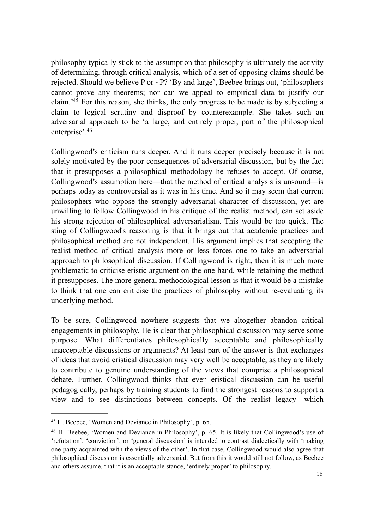philosophy typically stick to the assumption that philosophy is ultimately the activity of determining, through critical analysis, which of a set of opposing claims should be rejected. Should we believe P or  $\sim$ P? 'By and large', Beebee brings out, 'philosophers' cannot prove any theorems; nor can we appeal to empirical data to justify our claim.<sup> $45$ </sup> For this reason, she thinks, the only progress to be made is by subjecting a claim to logical scrutiny and disproof by counterexample. She takes such an adversarial approach to be 'a large, and entirely proper, part of the philosophical enterprise'.46

Collingwood's criticism runs deeper. And it runs deeper precisely because it is not solely motivated by the poor consequences of adversarial discussion, but by the fact that it presupposes a philosophical methodology he refuses to accept. Of course, Collingwood's assumption here—that the method of critical analysis is unsound—is perhaps today as controversial as it was in his time. And so it may seem that current philosophers who oppose the strongly adversarial character of discussion, yet are unwilling to follow Collingwood in his critique of the realist method, can set aside his strong rejection of philosophical adversarialism. This would be too quick. The sting of Collingwood's reasoning is that it brings out that academic practices and philosophical method are not independent. His argument implies that accepting the realist method of critical analysis more or less forces one to take an adversarial approach to philosophical discussion. If Collingwood is right, then it is much more problematic to criticise eristic argument on the one hand, while retaining the method it presupposes. The more general methodological lesson is that it would be a mistake to think that one can criticise the practices of philosophy without re-evaluating its underlying method.

To be sure, Collingwood nowhere suggests that we altogether abandon critical engagements in philosophy. He is clear that philosophical discussion may serve some purpose. What differentiates philosophically acceptable and philosophically unacceptable discussions or arguments? At least part of the answer is that exchanges of ideas that avoid eristical discussion may very well be acceptable, as they are likely to contribute to genuine understanding of the views that comprise a philosophical debate. Further, Collingwood thinks that even eristical discussion can be useful pedagogically, perhaps by training students to find the strongest reasons to support a view and to see distinctions between concepts. Of the realist legacy—which

<sup>&</sup>lt;sup>45</sup> H. Beebee, 'Women and Deviance in Philosophy', p. 65.

<sup>&</sup>lt;sup>46</sup> H. Beebee, 'Women and Deviance in Philosophy', p. 65. It is likely that Collingwood's use of 'refutation', 'conviction', or 'general discussion' is intended to contrast dialectically with 'making one party acquainted with the views of the other'. In that case, Collingwood would also agree that philosophical discussion is essentially adversarial. But from this it would still not follow, as Beebee and others assume, that it is an acceptable stance, 'entirely proper' to philosophy.